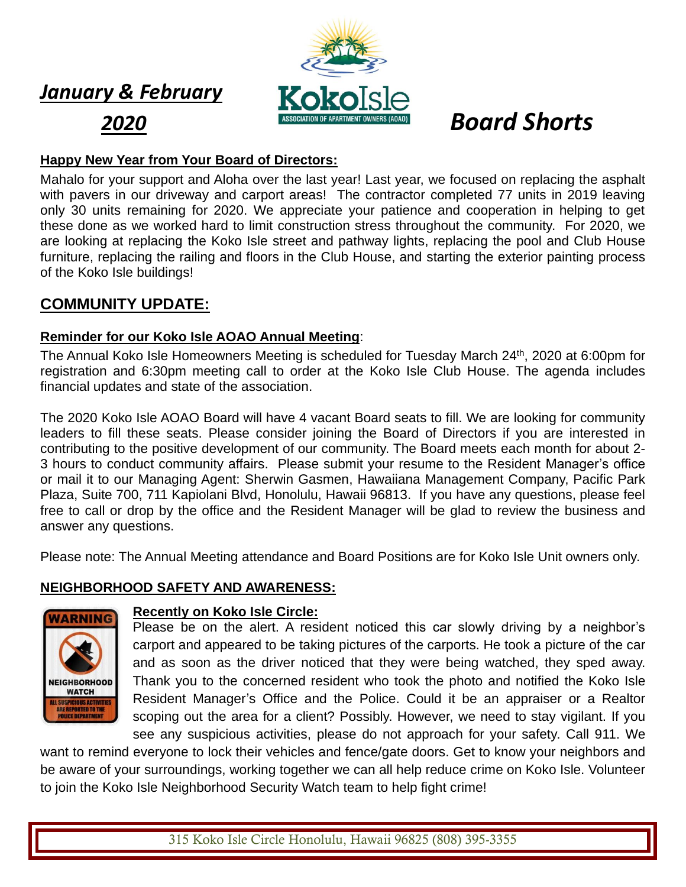# *January & February*



# **Happy New Year from Your Board of Directors:**

Mahalo for your support and Aloha over the last year! Last year, we focused on replacing the asphalt with pavers in our driveway and carport areas! The contractor completed 77 units in 2019 leaving only 30 units remaining for 2020. We appreciate your patience and cooperation in helping to get these done as we worked hard to limit construction stress throughout the community. For 2020, we are looking at replacing the Koko Isle street and pathway lights, replacing the pool and Club House furniture, replacing the railing and floors in the Club House, and starting the exterior painting process of the Koko Isle buildings!

# **COMMUNITY UPDATE:**

# **Reminder for our Koko Isle AOAO Annual Meeting**:

The Annual Koko Isle Homeowners Meeting is scheduled for Tuesday March 24<sup>th</sup>, 2020 at 6:00pm for registration and 6:30pm meeting call to order at the Koko Isle Club House. The agenda includes financial updates and state of the association.

The 2020 Koko Isle AOAO Board will have 4 vacant Board seats to fill. We are looking for community leaders to fill these seats. Please consider joining the Board of Directors if you are interested in contributing to the positive development of our community. The Board meets each month for about 2- 3 hours to conduct community affairs. Please submit your resume to the Resident Manager's office or mail it to our Managing Agent: Sherwin Gasmen, Hawaiiana Management Company, Pacific Park Plaza, Suite 700, 711 Kapiolani Blvd, Honolulu, Hawaii 96813. If you have any questions, please feel free to call or drop by the office and the Resident Manager will be glad to review the business and answer any questions.

Please note: The Annual Meeting attendance and Board Positions are for Koko Isle Unit owners only.

# **NEIGHBORHOOD SAFETY AND AWARENESS:**



### **Recently on Koko Isle Circle[:](https://nextdoor.com/news_feed/?post=135055207)**

Please be on the alert. A resident noticed this car slowly driving by a neighbor's carport and appeared to be taking pictures of the carports. He took a picture of the car and as soon as the driver noticed that they were being watched, they sped away. Thank you to the concerned resident who took the photo and notified the Koko Isle Resident Manager's Office and the Police. Could it be an appraiser or a Realtor scoping out the area for a client? Possibly. However, we need to stay vigilant. If you see any suspicious activities, please do not approach for your safety. Call 911. We

want to remind everyone to lock their vehicles and fence/gate doors. Get to know your neighbors and be aware of your surroundings, working together we can all help reduce crime on Koko Isle. Volunteer to join the Koko Isle Neighborhood Security Watch team to help fight crime!

315 Koko Isle Circle Honolulu, Hawaii 96825 (808) 395-3355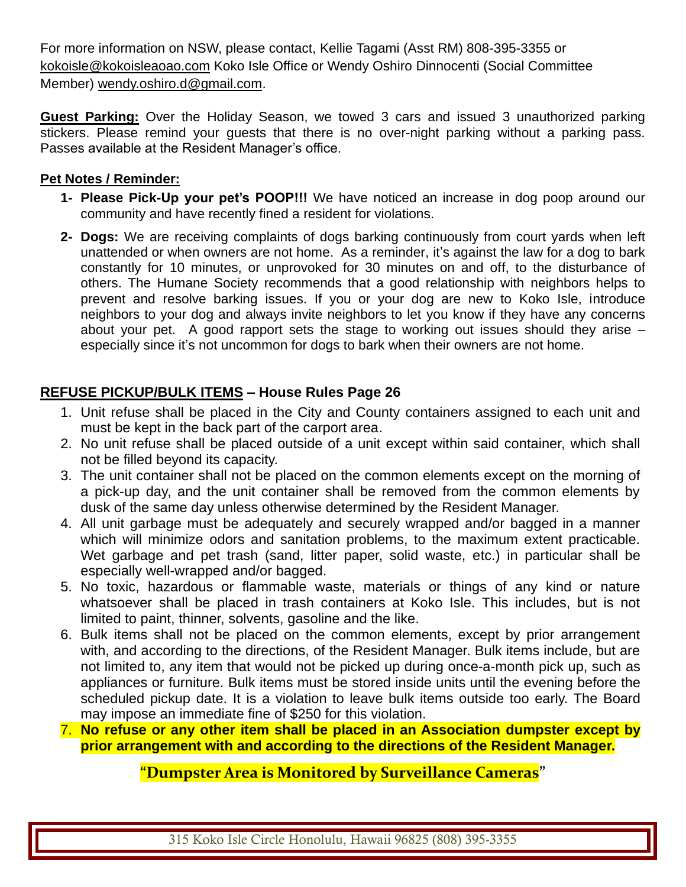For more information on NSW, please contact, Kellie Tagami (Asst RM) 808-395-3355 or [kokoisle@kokoisleaoao.com](mailto:kokoisle@kokoisleaoao.com) Koko Isle Office or Wendy Oshiro Dinnocenti (Social Committee Member) [wendy.oshiro.d@gmail.com.](mailto:wendy.oshiro.d@gmail.com)

**Guest Parking:** Over the Holiday Season, we towed 3 cars and issued 3 unauthorized parking stickers. Please remind your guests that there is no over-night parking without a parking pass. Passes available at the Resident Manager's office.

## **Pet Notes / Reminder:**

- **1- Please Pick-Up your pet's POOP!!!** We have noticed an increase in dog poop around our community and have recently fined a resident for violations.
- **2- Dogs:** We are receiving complaints of dogs barking continuously from court yards when left unattended or when owners are not home. As a reminder, it's against the law for a dog to bark constantly for 10 minutes, or unprovoked for 30 minutes on and off, to the disturbance of others. The Humane Society recommends that a good relationship with neighbors helps to prevent and resolve barking issues. If you or your dog are new to Koko Isle, introduce neighbors to your dog and always invite neighbors to let you know if they have any concerns about your pet. A good rapport sets the stage to working out issues should they arise – especially since it's not uncommon for dogs to bark when their owners are not home.

# **REFUSE PICKUP/BULK ITEMS – House Rules Page 26**

- 1. Unit refuse shall be placed in the City and County containers assigned to each unit and must be kept in the back part of the carport area.
- 2. No unit refuse shall be placed outside of a unit except within said container, which shall not be filled beyond its capacity.
- 3. The unit container shall not be placed on the common elements except on the morning of a pick-up day, and the unit container shall be removed from the common elements by dusk of the same day unless otherwise determined by the Resident Manager.
- 4. All unit garbage must be adequately and securely wrapped and/or bagged in a manner which will minimize odors and sanitation problems, to the maximum extent practicable. Wet garbage and pet trash (sand, litter paper, solid waste, etc.) in particular shall be especially well-wrapped and/or bagged.
- 5. No toxic, hazardous or flammable waste, materials or things of any kind or nature whatsoever shall be placed in trash containers at Koko Isle. This includes, but is not limited to paint, thinner, solvents, gasoline and the like.
- 6. Bulk items shall not be placed on the common elements, except by prior arrangement with, and according to the directions, of the Resident Manager. Bulk items include, but are not limited to, any item that would not be picked up during once-a-month pick up, such as appliances or furniture. Bulk items must be stored inside units until the evening before the scheduled pickup date. It is a violation to leave bulk items outside too early. The Board may impose an immediate fine of \$250 for this violation.
- 7. **No refuse or any other item shall be placed in an Association dumpster except by prior arrangement with and according to the directions of the Resident Manager.**

# **"Dumpster Area is Monitored by Surveillance Cameras"**

315 Koko Isle Circle Honolulu, Hawaii 96825 (808) 395-3355